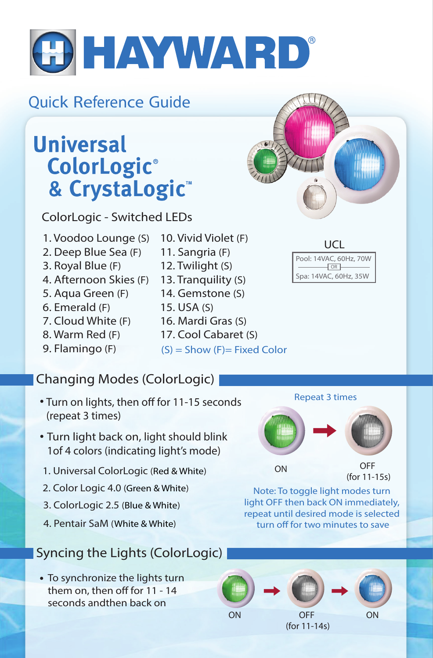

## *Quick Reference Guide*

# **Universal** ColorLogic® & CrystaLogic<sup>™</sup>

*ColorLogic - Switched LEDs*

- *1. Voodoo Lounge (S)*
- *2. Deep Blue Sea (F)*
- *3. Royal Blue (F)*
- *4. Afternoon Skies (F)*
- *5. Aqua Green (F)*
- *6. Emerald (F)*
- *7. Cloud White (F)*
- *8. Warm Red (F)*
- *9. Flamingo (F)*
- *16. Mardi Gras (S) 17. Cool Cabaret (S)*

*15. USA (S)*

*10. Vivid Violet (F) 11. Sangria (F) 12. Twilight (S) 13. Tranquility (S) 14. Gemstone (S)*

*(S) = Show (F)= Fixed Color*

### *Changing Modes (ColorLogic)*

- $\cdot$  Turn on lights, then off for 11-15 seconds *(repeat 3 times)*
- *Turn light back on, light should blink 1of 4 colors (indicating light's mode)*
- *1. Universal ColorLogic (Red & White)*
- *2. Color Logic 4.0 (Green & White)*
- *3. ColorLogic 2.5 (Blue & White)*
- *4. Pentair SaM (White & White)*

### *Syncing the Lights (ColorLogic)*

*To synchronize the lights turn*  them on, then off for 11 - 14 *seconds andthen back on* 







*(for 11-15s)*

*Note: To toggle light modes turn light OFF then back ON immediately, repeat until desired mode is selected*  turn off for two minutes to save